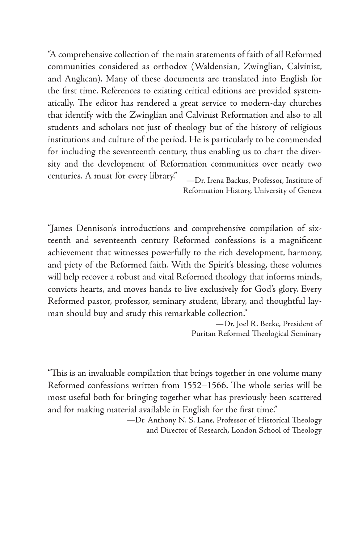"A comprehensive collection of the main statements of faith of all Reformed communities considered as orthodox (Waldensian, Zwinglian, Calvinist, and Anglican). Many of these documents are translated into English for the first time. References to existing critical editions are provided systematically. The editor has rendered a great service to modern-day churches that identify with the Zwinglian and Calvinist Reformation and also to all students and scholars not just of theology but of the history of religious institutions and culture of the period. He is particularly to be commended for including the seventeenth century, thus enabling us to chart the diversity and the development of Reformation communities over nearly two centuries. A must for every library." —Dr. Irena Backus, Professor, Institute of

Reformation History, University of Geneva

"James Dennison's introductions and comprehensive compilation of sixteenth and seventeenth century Reformed confessions is a magnificent achievement that witnesses powerfully to the rich development, harmony, and piety of the Reformed faith. With the Spirit's blessing, these volumes will help recover a robust and vital Reformed theology that informs minds, convicts hearts, and moves hands to live exclusively for God's glory. Every Reformed pastor, professor, seminary student, library, and thoughtful layman should buy and study this remarkable collection."

> —Dr. Joel R. Beeke, President of Puritan Reformed Theological Seminary

"This is an invaluable compilation that brings together in one volume many Reformed confessions written from 1552-1566. The whole series will be most useful both for bringing together what has previously been scattered and for making material available in English for the first time."

> -Dr. Anthony N. S. Lane, Professor of Historical Theology and Director of Research, London School of Theology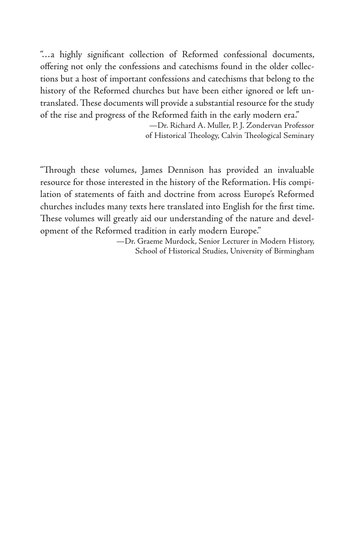"…a highly significant collection of Reformed confessional documents, offering not only the confessions and catechisms found in the older collections but a host of important confessions and catechisms that belong to the history of the Reformed churches but have been either ignored or left untranslated. These documents will provide a substantial resource for the study of the rise and progress of the Reformed faith in the early modern era."

> —Dr. Richard A. Muller, P. J. Zondervan Professor of Historical Theology, Calvin Theological Seminary

"Through these volumes, James Dennison has provided an invaluable resource for those interested in the history of the Reformation. His compilation of statements of faith and doctrine from across Europe's Reformed churches includes many texts here translated into English for the first time. These volumes will greatly aid our understanding of the nature and development of the Reformed tradition in early modern Europe."

> —Dr. Graeme Murdock, Senior Lecturer in Modern History, School of Historical Studies, University of Birmingham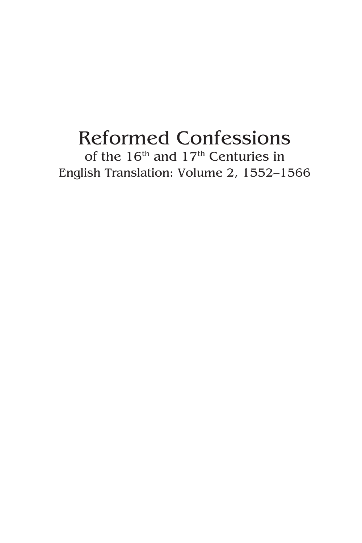## Reformed Confessions of the 16<sup>th</sup> and 17<sup>th</sup> Centuries in English Translation: Volume 2, 1552–1566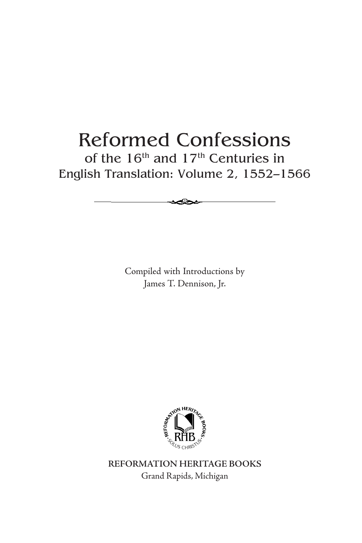## Reformed Confessions of the  $16<sup>th</sup>$  and  $17<sup>th</sup>$  Centuries in English Translation: Volume 2, 1552–1566

Compiled with Introductions by James T. Dennison, Jr.



**REFORMATION HERITAGE BOOKS** Grand Rapids, Michigan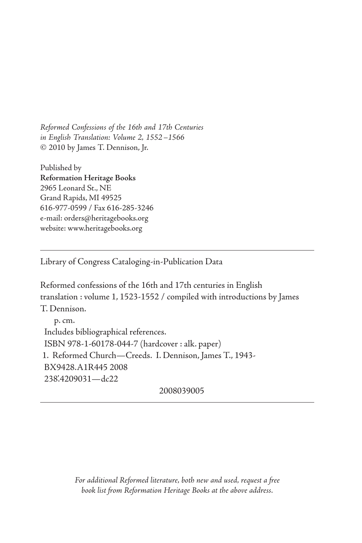Reformed Confessions of the 16th and 17th Centuries in English Translation: Volume 2, 1552–1566 © 2010 by James T. Dennison, Jr.

Published by **Reformation Heritage Books** 2965 Leonard St., NE Grand Rapids, MI 49525 616-977-0599 / Fax 616-285-3246 e-mail: orders@heritagebooks.org website: www.heritagebooks.org

Library of Congress Cataloging-in-Publication Data

Reformed confessions of the 16th and 17th centuries in English translation : volume 1, 1523-1552 / compiled with introductions by James T. Dennison. p. cm. Includes bibliographical references. ISBN 978-1-60178-044-7 (hardcover : alk. paper) 1. Reformed Church—Creeds. I. Dennison, James T., 1943- BX9428.A1R445 2008 238'.4209031—dc22

2008039005

For additional Reformed literature, both new and used, request a free book list from Reformation Heritage Books at the above address.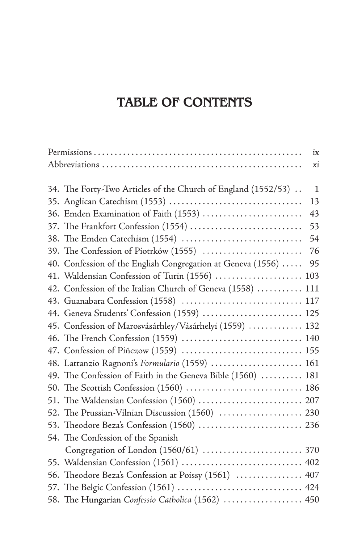### **TABLE OF CONTENTS**

|                                                               | ix  |
|---------------------------------------------------------------|-----|
|                                                               | xi  |
|                                                               |     |
| 34. The Forty-Two Articles of the Church of England (1552/53) | 1   |
|                                                               | 13  |
| 36. Emden Examination of Faith (1553)                         | 43  |
| 37. The Frankfort Confession (1554)                           | 53  |
|                                                               | 54  |
| 39. The Confession of Piotrków (1555)                         | 76  |
| 40. Confession of the English Congregation at Geneva (1556)   | 95  |
| 41. Waldensian Confession of Turin (1556)                     | 103 |
| 42. Confession of the Italian Church of Geneva (1558)         | 111 |
| 43. Guanabara Confession (1558)  117                          |     |
| 44. Geneva Students' Confession (1559)  125                   |     |
| 45. Confession of Marosvásárhley/Vásárhelyi (1559)  132       |     |
|                                                               |     |
| 47. Confession of Piñczow (1559)  155                         |     |
| 48. Lattanzio Ragnoni's Formulario (1559)  161                |     |
| 49. The Confession of Faith in the Geneva Bible (1560)  181   |     |
| 50. The Scottish Confession (1560)  186                       |     |
|                                                               |     |
| 52. The Prussian-Vilnian Discussion (1560)  230               |     |
| 53. Theodore Beza's Confession (1560)  236                    |     |
| 54. The Confession of the Spanish                             |     |
|                                                               |     |
| 55. Waldensian Confession (1561)  402                         |     |
| 56. Theodore Beza's Confession at Poissy (1561)  407          |     |
| 57. The Belgic Confession (1561)  424                         |     |
| 58. The Hungarian Confessio Catholica (1562)  450             |     |
|                                                               |     |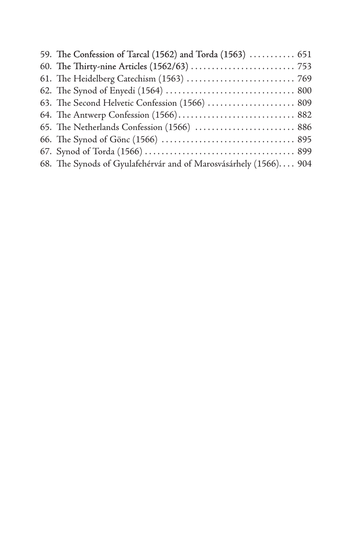| 59. The Confession of Tarcal (1562) and Torda (1563)  651        |  |
|------------------------------------------------------------------|--|
|                                                                  |  |
|                                                                  |  |
|                                                                  |  |
| 63. The Second Helvetic Confession (1566)  809                   |  |
|                                                                  |  |
| 65. The Netherlands Confession (1566)  886                       |  |
|                                                                  |  |
|                                                                  |  |
| 68. The Synods of Gyulafehérvár and of Marosvásárhely (1566) 904 |  |
|                                                                  |  |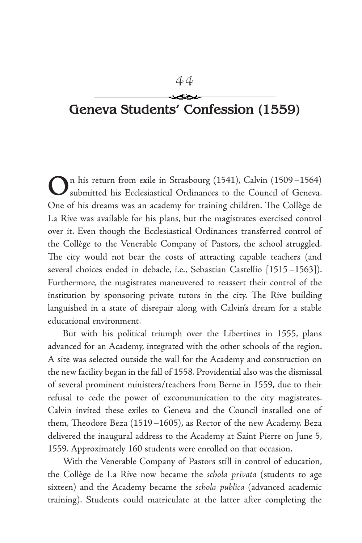# **Geneva Students' Confession (1559)**

On his return from exile in Strasbourg (1541), Calvin (1509–1564) submitted his Ecclesiastical Ordinances to the Council of Geneva. One of his dreams was an academy for training children. The Collège de La Rive was available for his plans, but the magistrates exercised control over it. Even though the Ecclesiastical Ordinances transferred control of the Collège to the Venerable Company of Pastors, the school struggled. The city would not bear the costs of attracting capable teachers (and several choices ended in debacle, i.e., Sebastian Castellio [1515–1563]). Furthermore, the magistrates maneuvered to reassert their control of the institution by sponsoring private tutors in the city. The Rive building languished in a state of disrepair along with Calvin's dream for a stable educational environment.

But with his political triumph over the Libertines in 1555, plans advanced for an Academy, integrated with the other schools of the region. A site was selected outside the wall for the Academy and construction on the new facility began in the fall of 1558. Providential also was the dismissal of several prominent ministers/teachers from Berne in 1559, due to their refusal to cede the power of excommunication to the city magistrates. Calvin invited these exiles to Geneva and the Council installed one of them, Theodore Beza (1519–1605), as Rector of the new Academy. Beza delivered the inaugural address to the Academy at Saint Pierre on June 5, 1559. Approximately 160 students were enrolled on that occasion.

With the Venerable Company of Pastors still in control of education, the Collège de La Rive now became the schola privata (students to age sixteen) and the Academy became the schola publica (advanced academic training). Students could matriculate at the latter after completing the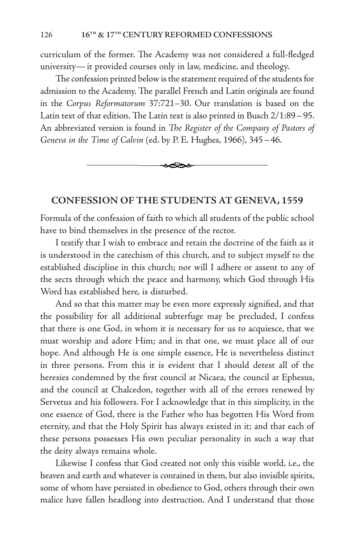curriculum of the former. The Academy was not considered a full-fledged university—it provided courses only in law, medicine, and theology.

The confession printed below is the statement required of the students for admission to the Academy. The parallel French and Latin originals are found in the Corpus Reformatorum 37:721–30. Our translation is based on the Latin text of that edition. The Latin text is also printed in Busch  $2/1:89-95$ . An abbreviated version is found in The Register of the Company of Pastors of Geneva in the Time of Calvin (ed. by P. E. Hughes, 1966), 345–46.



#### **CONFESSION OF THE STUDENTS AT GENEVA, 1559**

Formula of the confession of faith to which all students of the public school have to bind themselves in the presence of the rector.

I testify that I wish to embrace and retain the doctrine of the faith as it is understood in the catechism of this church, and to subject myself to the established discipline in this church; nor will I adhere or assent to any of the sects through which the peace and harmony, which God through His Word has established here, is disturbed.

And so that this matter may be even more expressly signified, and that the possibility for all additional subterfuge may be precluded, I confess that there is one God, in whom it is necessary for us to acquiesce, that we must worship and adore Him; and in that one, we must place all of our hope. And although He is one simple essence, He is nevertheless distinct in three persons. From this it is evident that I should detest all of the heresies condemned by the first council at Nicaea, the council at Ephesus, and the council at Chalcedon, together with all of the errors renewed by Servetus and his followers. For I acknowledge that in this simplicity, in the one essence of God, there is the Father who has begotten His Word from eternity, and that the Holy Spirit has always existed in it; and that each of these persons possesses His own peculiar personality in such a way that the deity always remains whole.

Likewise I confess that God created not only this visible world, i.e., the heaven and earth and whatever is contained in them, but also invisible spirits, some of whom have persisted in obedience to God, others through their own malice have fallen headlong into destruction. And I understand that those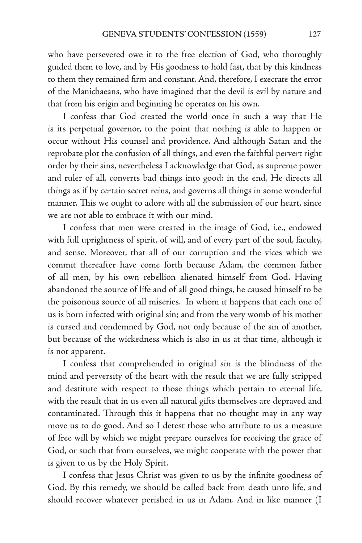who have persevered owe it to the free election of God, who thoroughly guided them to love, and by His goodness to hold fast, that by this kindness to them they remained firm and constant. And, therefore, I execrate the error of the Manichaeans, who have imagined that the devil is evil by nature and that from his origin and beginning he operates on his own.

I confess that God created the world once in such a way that He is its perpetual governor, to the point that nothing is able to happen or occur without His counsel and providence. And although Satan and the reprobate plot the confusion of all things, and even the faithful pervert right order by their sins, nevertheless I acknowledge that God, as supreme power and ruler of all, converts bad things into good: in the end, He directs all things as if by certain secret reins, and governs all things in some wonderful manner. This we ought to adore with all the submission of our heart, since we are not able to embrace it with our mind.

I confess that men were created in the image of God, i.e., endowed with full uprightness of spirit, of will, and of every part of the soul, faculty, and sense. Moreover, that all of our corruption and the vices which we commit thereafter have come forth because Adam, the common father of all men, by his own rebellion alienated himself from God. Having abandoned the source of life and of all good things, he caused himself to be the poisonous source of all miseries. In whom it happens that each one of us is born infected with original sin; and from the very womb of his mother is cursed and condemned by God, not only because of the sin of another, but because of the wickedness which is also in us at that time, although it is not apparent.

I confess that comprehended in original sin is the blindness of the mind and perversity of the heart with the result that we are fully stripped and destitute with respect to those things which pertain to eternal life, with the result that in us even all natural gifts themselves are depraved and contaminated. Through this it happens that no thought may in any way move us to do good. And so I detest those who attribute to us a measure of free will by which we might prepare ourselves for receiving the grace of God, or such that from ourselves, we might cooperate with the power that is given to us by the Holy Spirit.

I confess that Jesus Christ was given to us by the infinite goodness of God. By this remedy, we should be called back from death unto life, and should recover whatever perished in us in Adam. And in like manner (I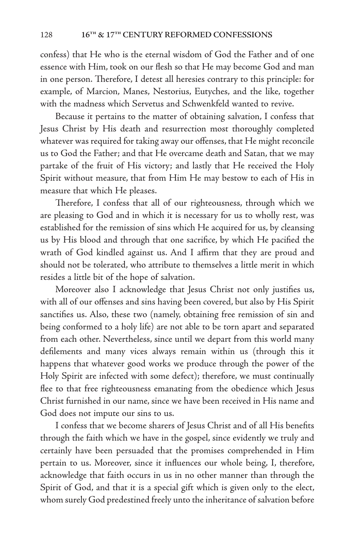confess) that He who is the eternal wisdom of God the Father and of one essence with Him, took on our flesh so that He may become God and man in one person. Therefore, I detest all heresies contrary to this principle: for example, of Marcion, Manes, Nestorius, Eutyches, and the like, together with the madness which Servetus and Schwenkfeld wanted to revive.

Because it pertains to the matter of obtaining salvation, I confess that Jesus Christ by His death and resurrection most thoroughly completed whatever was required for taking away our offenses, that He might reconcile us to God the Father; and that He overcame death and Satan, that we may partake of the fruit of His victory; and lastly that He received the Holy Spirit without measure, that from Him He may bestow to each of His in measure that which He pleases.

Therefore, I confess that all of our righteousness, through which we are pleasing to God and in which it is necessary for us to wholly rest, was established for the remission of sins which He acquired for us, by cleansing us by His blood and through that one sacrifice, by which He pacified the wrath of God kindled against us. And I affirm that they are proud and should not be tolerated, who attribute to themselves a little merit in which resides a little bit of the hope of salvation.

Moreover also I acknowledge that Jesus Christ not only justifies us, with all of our offenses and sins having been covered, but also by His Spirit sanctifies us. Also, these two (namely, obtaining free remission of sin and being conformed to a holy life) are not able to be torn apart and separated from each other. Nevertheless, since until we depart from this world many defilements and many vices always remain within us (through this it happens that whatever good works we produce through the power of the Holy Spirit are infected with some defect); therefore, we must continually flee to that free righteousness emanating from the obedience which Jesus Christ furnished in our name, since we have been received in His name and God does not impute our sins to us.

I confess that we become sharers of Jesus Christ and of all His benefits through the faith which we have in the gospel, since evidently we truly and certainly have been persuaded that the promises comprehended in Him pertain to us. Moreover, since it influences our whole being, I, therefore, acknowledge that faith occurs in us in no other manner than through the Spirit of God, and that it is a special gift which is given only to the elect, whom surely God predestined freely unto the inheritance of salvation before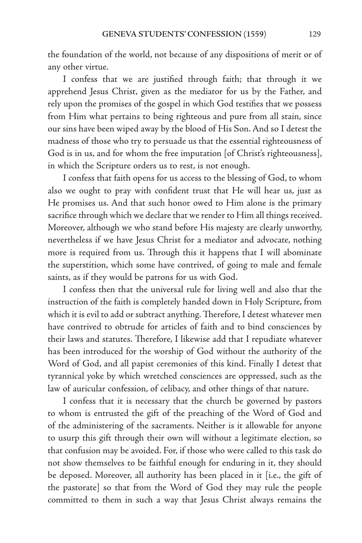the foundation of the world, not because of any dispositions of merit or of any other virtue.

I confess that we are justified through faith; that through it we apprehend Jesus Christ, given as the mediator for us by the Father, and rely upon the promises of the gospel in which God testifies that we possess from Him what pertains to being righteous and pure from all stain, since our sins have been wiped away by the blood of His Son. And so I detest the madness of those who try to persuade us that the essential righteousness of God is in us, and for whom the free imputation [of Christ's righteousness], in which the Scripture orders us to rest, is not enough.

I confess that faith opens for us access to the blessing of God, to whom also we ought to pray with confident trust that He will hear us, just as He promises us. And that such honor owed to Him alone is the primary sacrifice through which we declare that we render to Him all things received. Moreover, although we who stand before His majesty are clearly unworthy, nevertheless if we have Jesus Christ for a mediator and advocate, nothing more is required from us. Through this it happens that I will abominate the superstition, which some have contrived, of going to male and female saints, as if they would be patrons for us with God.

I confess then that the universal rule for living well and also that the instruction of the faith is completely handed down in Holy Scripture, from which it is evil to add or subtract anything. Therefore, I detest whatever men have contrived to obtrude for articles of faith and to bind consciences by their laws and statutes. Therefore, I likewise add that I repudiate whatever has been introduced for the worship of God without the authority of the Word of God, and all papist ceremonies of this kind. Finally I detest that tyrannical yoke by which wretched consciences are oppressed, such as the law of auricular confession, of celibacy, and other things of that nature.

I confess that it is necessary that the church be governed by pastors to whom is entrusted the gift of the preaching of the Word of God and of the administering of the sacraments. Neither is it allowable for anyone to usurp this gift through their own will without a legitimate election, so that confusion may be avoided. For, if those who were called to this task do not show themselves to be faithful enough for enduring in it, they should be deposed. Moreover, all authority has been placed in it [i.e., the gift of the pastorate] so that from the Word of God they may rule the people committed to them in such a way that Jesus Christ always remains the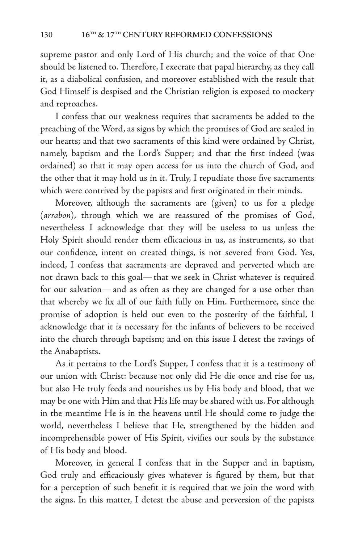supreme pastor and only Lord of His church; and the voice of that One should be listened to. Therefore, I execrate that papal hierarchy, as they call it, as a diabolical confusion, and moreover established with the result that God Himself is despised and the Christian religion is exposed to mockery and reproaches.

I confess that our weakness requires that sacraments be added to the preaching of the Word, as signs by which the promises of God are sealed in our hearts; and that two sacraments of this kind were ordained by Christ, namely, baptism and the Lord's Supper; and that the first indeed (was ordained) so that it may open access for us into the church of God, and the other that it may hold us in it. Truly, I repudiate those five sacraments which were contrived by the papists and first originated in their minds.

Moreover, although the sacraments are (given) to us for a pledge (arrabon), through which we are reassured of the promises of God, nevertheless I acknowledge that they will be useless to us unless the Holy Spirit should render them efficacious in us, as instruments, so that our confidence, intent on created things, is not severed from God. Yes, indeed, I confess that sacraments are depraved and perverted which are not drawn back to this goal—that we seek in Christ whatever is required for our salvation—and as often as they are changed for a use other than that whereby we fix all of our faith fully on Him. Furthermore, since the promise of adoption is held out even to the posterity of the faithful, I acknowledge that it is necessary for the infants of believers to be received into the church through baptism; and on this issue I detest the ravings of the Anabaptists.

As it pertains to the Lord's Supper, I confess that it is a testimony of our union with Christ: because not only did He die once and rise for us, but also He truly feeds and nourishes us by His body and blood, that we may be one with Him and that His life may be shared with us. For although in the meantime He is in the heavens until He should come to judge the world, nevertheless I believe that He, strengthened by the hidden and incomprehensible power of His Spirit, vivifies our souls by the substance of His body and blood.

Moreover, in general I confess that in the Supper and in baptism, God truly and efficaciously gives whatever is figured by them, but that for a perception of such benefit it is required that we join the word with the signs. In this matter, I detest the abuse and perversion of the papists